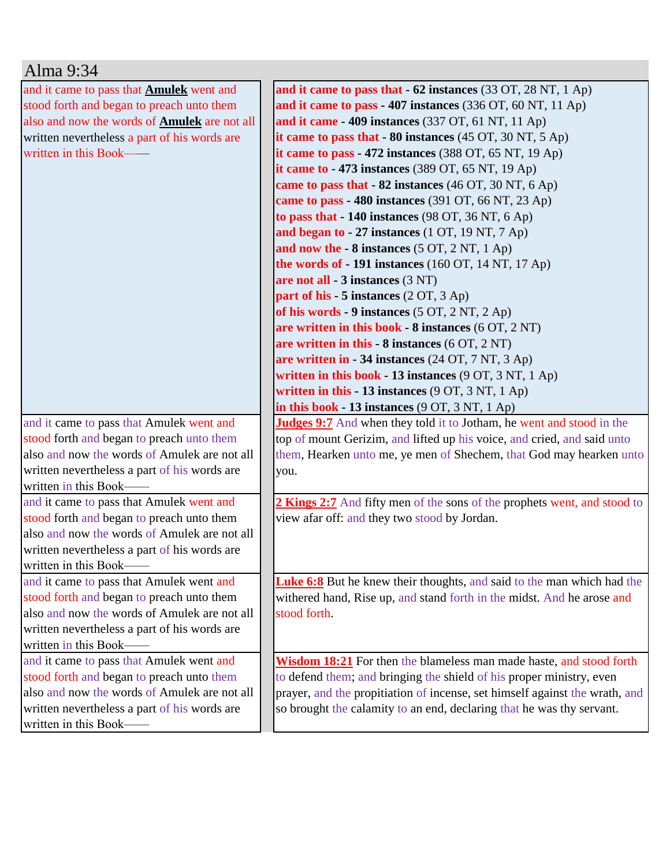| Alma 9:34                                                                                 |                                                                                                                                                      |
|-------------------------------------------------------------------------------------------|------------------------------------------------------------------------------------------------------------------------------------------------------|
| and it came to pass that <b>Amulek</b> went and                                           | and it came to pass that $-62$ instances (33 OT, 28 NT, 1 Ap)                                                                                        |
| stood forth and began to preach unto them                                                 | and it came to pass - 407 instances $(336 \text{ OT}, 60 \text{ NT}, 11 \text{ Ap})$                                                                 |
| also and now the words of <b>Amulek</b> are not all                                       | and it came $-409$ instances (337 OT, 61 NT, 11 Ap)                                                                                                  |
| written nevertheless a part of his words are                                              | it came to pass that $-80$ instances $(45 \text{ OT}, 30 \text{ NT}, 5 \text{ Ap})$                                                                  |
| written in this Book——                                                                    | it came to pass - 472 instances $(388 \text{ OT}, 65 \text{ NT}, 19 \text{ Ap})$                                                                     |
|                                                                                           | it came to $-473$ instances (389 OT, 65 NT, 19 Ap)                                                                                                   |
|                                                                                           | came to pass that - 82 instances (46 OT, 30 NT, 6 Ap)                                                                                                |
|                                                                                           | came to pass - 480 instances (391 OT, 66 NT, 23 Ap)                                                                                                  |
|                                                                                           | to pass that $-140$ instances (98 OT, 36 NT, 6 Ap)                                                                                                   |
|                                                                                           | and began to - 27 instances $(1 OT, 19 NT, 7 Ap)$                                                                                                    |
|                                                                                           | and now the $-8$ instances (5 OT, 2 NT, 1 Ap)                                                                                                        |
|                                                                                           | the words of $-191$ instances (160 OT, 14 NT, 17 Ap)                                                                                                 |
|                                                                                           | are not all - 3 instances (3 NT)                                                                                                                     |
|                                                                                           | part of his $-5$ instances $(2 OT, 3 Ap)$                                                                                                            |
|                                                                                           | of his words - 9 instances $(5 OT, 2 NT, 2 Ap)$                                                                                                      |
|                                                                                           | are written in this book - $8$ instances ( $6$ OT, $2$ NT)                                                                                           |
|                                                                                           | are written in this $-8$ instances (6 OT, 2 NT)                                                                                                      |
|                                                                                           | are written in - 34 instances (24 OT, 7 NT, 3 Ap)                                                                                                    |
|                                                                                           | written in this book $-13$ instances (9 OT, 3 NT, 1 Ap)                                                                                              |
|                                                                                           | written in this - 13 instances $(9 OT, 3 NT, 1 Ap)$                                                                                                  |
|                                                                                           | in this book $-13$ instances $(9 \text{ OT}, 3 \text{ NT}, 1 \text{ Ap})$                                                                            |
| and it came to pass that Amulek went and                                                  | <b>Judges 9:7</b> And when they told it to Jotham, he went and stood in the                                                                          |
| stood forth and began to preach unto them                                                 | top of mount Gerizim, and lifted up his voice, and cried, and said unto                                                                              |
| also and now the words of Amulek are not all                                              | them, Hearken unto me, ye men of Shechem, that God may hearken unto                                                                                  |
| written nevertheless a part of his words are                                              | you.                                                                                                                                                 |
| written in this Book-                                                                     |                                                                                                                                                      |
| and it came to pass that Amulek went and                                                  | 2 Kings 2:7 And fifty men of the sons of the prophets went, and stood to                                                                             |
| stood forth and began to preach unto them                                                 | view afar off: and they two stood by Jordan.                                                                                                         |
| also and now the words of Amulek are not all                                              |                                                                                                                                                      |
| written nevertheless a part of his words are                                              |                                                                                                                                                      |
| written in this Book—                                                                     |                                                                                                                                                      |
| and it came to pass that Amulek went and                                                  | Luke 6:8 But he knew their thoughts, and said to the man which had the                                                                               |
| stood forth and began to preach unto them                                                 | withered hand, Rise up, and stand forth in the midst. And he arose and                                                                               |
| also and now the words of Amulek are not all                                              | stood forth.                                                                                                                                         |
| written nevertheless a part of his words are                                              |                                                                                                                                                      |
| written in this Book-                                                                     |                                                                                                                                                      |
| and it came to pass that Amulek went and                                                  | Wisdom 18:21 For then the blameless man made haste, and stood forth                                                                                  |
| stood forth and began to preach unto them<br>also and now the words of Amulek are not all | to defend them; and bringing the shield of his proper ministry, even                                                                                 |
| written nevertheless a part of his words are                                              | prayer, and the propitiation of incense, set himself against the wrath, and<br>so brought the calamity to an end, declaring that he was thy servant. |
| written in this Book—                                                                     |                                                                                                                                                      |
|                                                                                           |                                                                                                                                                      |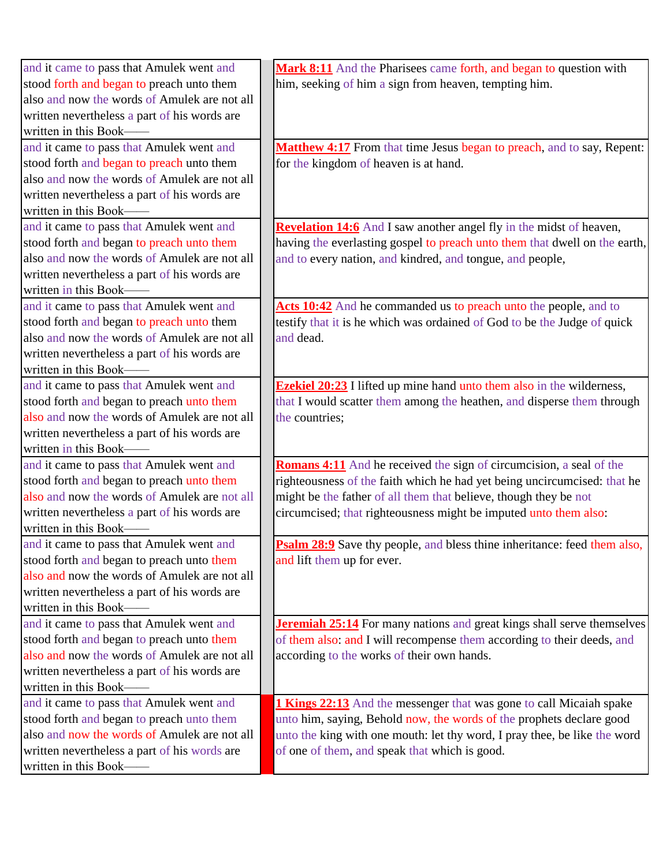| and it came to pass that Amulek went and     | <b>Mark 8:11</b> And the Pharisees came forth, and began to question with       |
|----------------------------------------------|---------------------------------------------------------------------------------|
| stood forth and began to preach unto them    | him, seeking of him a sign from heaven, tempting him.                           |
| also and now the words of Amulek are not all |                                                                                 |
| written nevertheless a part of his words are |                                                                                 |
| written in this Book-                        |                                                                                 |
| and it came to pass that Amulek went and     | <b>Matthew 4:17</b> From that time Jesus began to preach, and to say, Repent:   |
| stood forth and began to preach unto them    | for the kingdom of heaven is at hand.                                           |
| also and now the words of Amulek are not all |                                                                                 |
| written nevertheless a part of his words are |                                                                                 |
| written in this Book-                        |                                                                                 |
| and it came to pass that Amulek went and     | <b>Revelation 14:6</b> And I saw another angel fly in the midst of heaven,      |
| stood forth and began to preach unto them    | having the everlasting gospel to preach unto them that dwell on the earth,      |
| also and now the words of Amulek are not all | and to every nation, and kindred, and tongue, and people,                       |
| written nevertheless a part of his words are |                                                                                 |
| written in this Book—                        |                                                                                 |
| and it came to pass that Amulek went and     | Acts 10:42 And he commanded us to preach unto the people, and to                |
| stood forth and began to preach unto them    | testify that it is he which was ordained of God to be the Judge of quick        |
| also and now the words of Amulek are not all | and dead.                                                                       |
| written nevertheless a part of his words are |                                                                                 |
| written in this Book-                        |                                                                                 |
| and it came to pass that Amulek went and     | <b>Ezekiel 20:23</b> I lifted up mine hand unto them also in the wilderness,    |
| stood forth and began to preach unto them    | that I would scatter them among the heathen, and disperse them through          |
| also and now the words of Amulek are not all | the countries;                                                                  |
| written nevertheless a part of his words are |                                                                                 |
| written in this Book—                        |                                                                                 |
| and it came to pass that Amulek went and     | Romans 4:11 And he received the sign of circumcision, a seal of the             |
| stood forth and began to preach unto them    | righteousness of the faith which he had yet being uncircumcised: that he        |
| also and now the words of Amulek are not all | might be the father of all them that believe, though they be not                |
| written nevertheless a part of his words are | circumcised; that righteousness might be imputed unto them also:                |
| written in this Book-                        |                                                                                 |
| and it came to pass that Amulek went and     | <b>Psalm 28:9</b> Save thy people, and bless thine inheritance: feed them also, |
| stood forth and began to preach unto them    | and lift them up for ever.                                                      |
| also and now the words of Amulek are not all |                                                                                 |
| written nevertheless a part of his words are |                                                                                 |
| written in this Book-                        |                                                                                 |
| and it came to pass that Amulek went and     | <b>Jeremiah 25:14</b> For many nations and great kings shall serve themselves   |
| stood forth and began to preach unto them    | of them also: and I will recompense them according to their deeds, and          |
| also and now the words of Amulek are not all | according to the works of their own hands.                                      |
| written nevertheless a part of his words are |                                                                                 |
| written in this Book-                        |                                                                                 |
| and it came to pass that Amulek went and     | <b>1 Kings 22:13</b> And the messenger that was gone to call Micaiah spake      |
| stood forth and began to preach unto them    | unto him, saying, Behold now, the words of the prophets declare good            |
| also and now the words of Amulek are not all | unto the king with one mouth: let thy word, I pray thee, be like the word       |
| written nevertheless a part of his words are | of one of them, and speak that which is good.                                   |
| written in this Book-                        |                                                                                 |